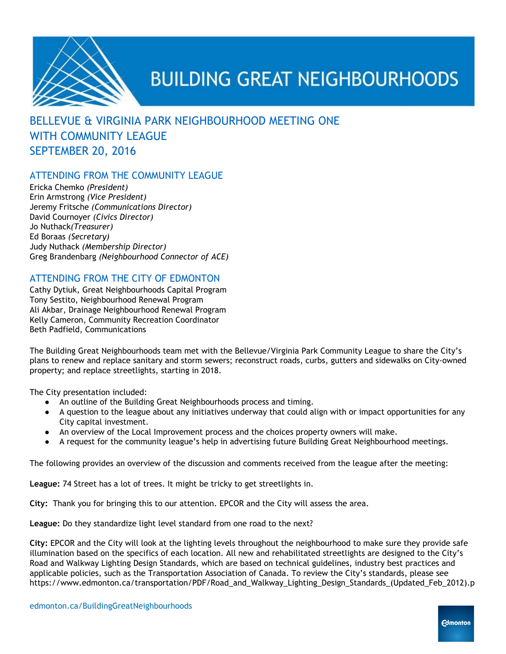

#### BELLEVUE & VIRGINIA PARK NEIGHBOURHOOD MEETING ONE WITH COMMUNITY LEAGUE SEPTEMBER 20, 2016

#### ATTENDING FROM THE COMMUNITY LEAGUE

Ericka Chemko *(President)* Erin Armstrong *(Vice President)* Jeremy Fritsche *(Communications Director)* David Cournoyer *(Civics Director)* Jo Nuthack*(Treasurer)* Ed Boraas *(Secretary)* Judy Nuthack *(Membership Director)* Greg Brandenbarg *(Neighbourhood Connector of ACE)*

#### ATTENDING FROM THE CITY OF EDMONTON

Cathy Dytiuk, Great Neighbourhoods Capital Program Tony Sestito, Neighbourhood Renewal Program Ali Akbar, Drainage Neighbourhood Renewal Program Kelly Cameron, Community Recreation Coordinator Beth Padfield, Communications

The Building Great Neighbourhoods team met with the Bellevue/Virginia Park Community League to share the City's plans to renew and replace sanitary and storm sewers; reconstruct roads, curbs, gutters and sidewalks on City-owned property; and replace streetlights, starting in 2018.

The City presentation included:

- An outline of the Building Great Neighbourhoods process and timing.
- A question to the league about any initiatives underway that could align with or impact opportunities for any City capital investment.
- An overview of the Local Improvement process and the choices property owners will make.
- A request for the community league's help in advertising future Building Great Neighbourhood meetings.

The following provides an overview of the discussion and comments received from the league after the meeting:

**League:** 74 Street has a lot of trees. It might be tricky to get streetlights in.

**City:**  Thank you for bringing this to our attention. EPCOR and the City will assess the area.

**League:** Do they standardize light level standard from one road to the next?

**City:** EPCOR and the City will look at the lighting levels throughout the neighbourhood to make sure they provide safe illumination based on the specifics of each location. All new and rehabilitated streetlights are designed to the City's Road and Walkway Lighting Design Standards, which are based on technical guidelines, industry best practices and applicable policies, such as the Transportation Association of Canada. To review the City's standards, please see https://www.edmonton.ca/transportation/PDF/Road\_and\_Walkway\_Lighting\_Design\_Standards\_(Updated\_Feb\_2012).p

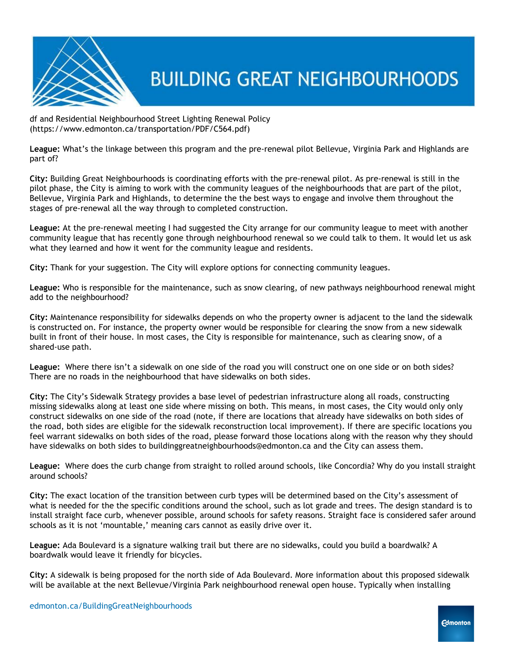

df and Residential Neighbourhood Street Lighting Renewal Policy (https://www.edmonton.ca/transportation/PDF/C564.pdf)

**League:** What's the linkage between this program and the pre-renewal pilot Bellevue, Virginia Park and Highlands are part of?

**City:** Building Great Neighbourhoods is coordinating efforts with the pre-renewal pilot. As pre-renewal is still in the pilot phase, the City is aiming to work with the community leagues of the neighbourhoods that are part of the pilot, Bellevue, Virginia Park and Highlands, to determine the the best ways to engage and involve them throughout the stages of pre-renewal all the way through to completed construction.

**League:** At the pre-renewal meeting I had suggested the City arrange for our community league to meet with another community league that has recently gone through neighbourhood renewal so we could talk to them. It would let us ask what they learned and how it went for the community league and residents.

**City:** Thank for your suggestion. The City will explore options for connecting community leagues.

**League:** Who is responsible for the maintenance, such as snow clearing, of new pathways neighbourhood renewal might add to the neighbourhood?

**City:** Maintenance responsibility for sidewalks depends on who the property owner is adjacent to the land the sidewalk is constructed on. For instance, the property owner would be responsible for clearing the snow from a new sidewalk built in front of their house. In most cases, the City is responsible for maintenance, such as clearing snow, of a shared-use path.

**League:**  Where there isn't a sidewalk on one side of the road you will construct one on one side or on both sides? There are no roads in the neighbourhood that have sidewalks on both sides.

**City:** The City's Sidewalk Strategy provides a base level of pedestrian infrastructure along all roads, constructing missing sidewalks along at least one side where missing on both. This means, in most cases, the City would only only construct sidewalks on one side of the road (note, if there are locations that already have sidewalks on both sides of the road, both sides are eligible for the sidewalk reconstruction local improvement). If there are specific locations you feel warrant sidewalks on both sides of the road, please forward those locations along with the reason why they should have sidewalks on both sides to buildinggreatneighbourhoods@edmonton.ca and the City can assess them.

**League:**  Where does the curb change from straight to rolled around schools, like Concordia? Why do you install straight around schools?

**City:** The exact location of the transition between curb types will be determined based on the City's assessment of what is needed for the the specific conditions around the school, such as lot grade and trees. The design standard is to install straight face curb, whenever possible, around schools for safety reasons. Straight face is considered safer around schools as it is not 'mountable,' meaning cars cannot as easily drive over it.

**League:** Ada Boulevard is a signature walking trail but there are no sidewalks, could you build a boardwalk? A boardwalk would leave it friendly for bicycles.

**City:** A sidewalk is being proposed for the north side of Ada Boulevard. More information about this proposed sidewalk will be available at the next Bellevue/Virginia Park neighbourhood renewal open house. Typically when installing

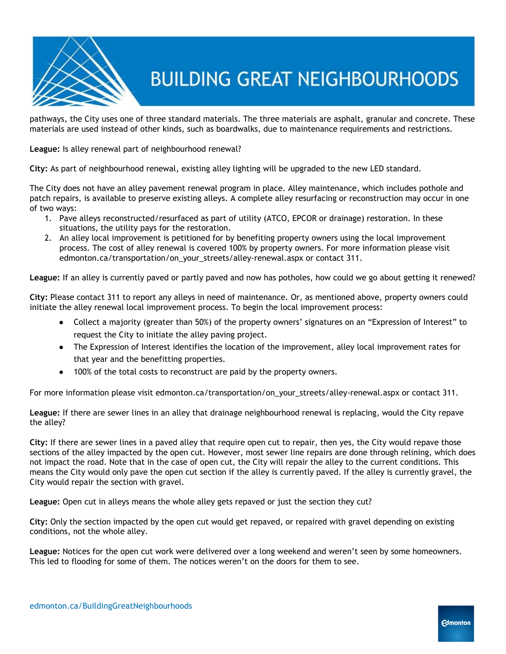

pathways, the City uses one of three standard materials. The three materials are asphalt, granular and concrete. These materials are used instead of other kinds, such as boardwalks, due to maintenance requirements and restrictions.

**League:** Is alley renewal part of neighbourhood renewal?

**City:** As part of neighbourhood renewal, existing alley lighting will be upgraded to the new LED standard.

The City does not have an alley pavement renewal program in place. Alley maintenance, which includes pothole and patch repairs, is available to preserve existing alleys. A complete alley resurfacing or reconstruction may occur in one of two ways:

- 1. Pave alleys reconstructed/resurfaced as part of utility (ATCO, EPCOR or drainage) restoration. In these situations, the utility pays for the restoration.
- 2. An alley local improvement is petitioned for by benefiting property owners using the local improvement process. The cost of alley renewal is covered 100% by property owners. For more information please visit edmonton.ca/transportation/on\_your\_streets/alley-renewal.aspx or contact 311.

**League:** If an alley is currently paved or partly paved and now has potholes, how could we go about getting it renewed?

**City:** Please contact 311 to report any alleys in need of maintenance. Or, as mentioned above, property owners could initiate the alley renewal local improvement process. To begin the local improvement process:

- Collect a majority (greater than 50%) of the property owners' signatures on an "Expression of Interest" to request the City to initiate the alley paving project.
- The Expression of Interest identifies the location of the improvement, alley local improvement rates for that year and the benefitting properties.
- 100% of the total costs to reconstruct are paid by the property owners.

For more information please visit edmonton.ca/transportation/on\_your\_streets/alley-renewal.aspx or contact 311.

**League:** If there are sewer lines in an alley that drainage neighbourhood renewal is replacing, would the City repave the alley?

**City:** If there are sewer lines in a paved alley that require open cut to repair, then yes, the City would repave those sections of the alley impacted by the open cut. However, most sewer line repairs are done through relining, which does not impact the road. Note that in the case of open cut, the City will repair the alley to the current conditions. This means the City would only pave the open cut section if the alley is currently paved. If the alley is currently gravel, the City would repair the section with gravel.

**League:** Open cut in alleys means the whole alley gets repaved or just the section they cut?

**City:** Only the section impacted by the open cut would get repaved, or repaired with gravel depending on existing conditions, not the whole alley.

**League:** Notices for the open cut work were delivered over a long weekend and weren't seen by some homeowners. This led to flooding for some of them. The notices weren't on the doors for them to see.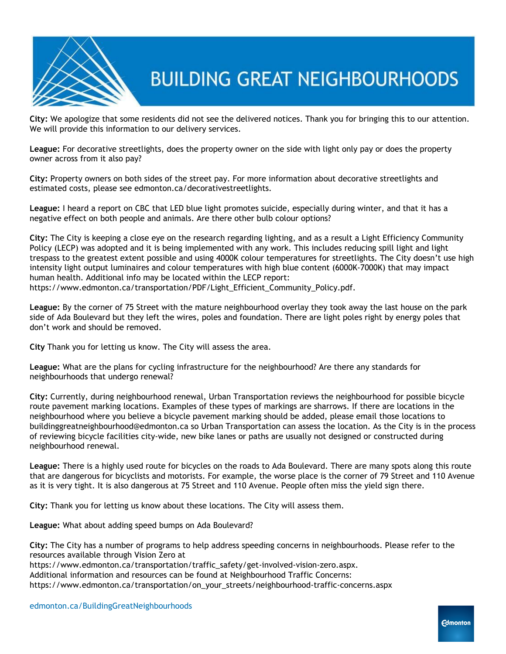

**City:** We apologize that some residents did not see the delivered notices. Thank you for bringing this to our attention. We will provide this information to our delivery services.

**League:** For decorative streetlights, does the property owner on the side with light only pay or does the property owner across from it also pay?

**City:** Property owners on both sides of the street pay. For more information about decorative streetlights and estimated costs, please see edmonton.ca/decorativestreetlights.

**League:** I heard a report on CBC that LED blue light promotes suicide, especially during winter, and that it has a negative effect on both people and animals. Are there other bulb colour options?

**City:** The City is keeping a close eye on the research regarding lighting, and as a result a Light Efficiency Community Policy (LECP) was adopted and it is being implemented with any work. This includes reducing spill light and light trespass to the greatest extent possible and using 4000K colour temperatures for streetlights. The City doesn't use high intensity light output luminaires and colour temperatures with high blue content (6000K-7000K) that may impact human health. Additional info may be located within the LECP report: https://www.edmonton.ca/transportation/PDF/Light\_Efficient\_Community\_Policy.pdf.

**League:** By the corner of 75 Street with the mature neighbourhood overlay they took away the last house on the park side of Ada Boulevard but they left the wires, poles and foundation. There are light poles right by energy poles that don't work and should be removed.

**City** Thank you for letting us know. The City will assess the area.

**League:** What are the plans for cycling infrastructure for the neighbourhood? Are there any standards for neighbourhoods that undergo renewal?

**City:** Currently, during neighbourhood renewal, Urban Transportation reviews the neighbourhood for possible bicycle route pavement marking locations. Examples of these types of markings are sharrows. If there are locations in the neighbourhood where you believe a bicycle pavement marking should be added, please email those locations to buildinggreatneighbourhood@edmonton.ca so Urban Transportation can assess the location. As the City is in the process of reviewing bicycle facilities city-wide, new bike lanes or paths are usually not designed or constructed during neighbourhood renewal.

**League:** There is a highly used route for bicycles on the roads to Ada Boulevard. There are many spots along this route that are dangerous for bicyclists and motorists. For example, the worse place is the corner of 79 Street and 110 Avenue as it is very tight. It is also dangerous at 75 Street and 110 Avenue. People often miss the yield sign there.

**City:** Thank you for letting us know about these locations. The City will assess them.

**League:** What about adding speed bumps on Ada Boulevard?

**City:** The City has a number of programs to help address speeding concerns in neighbourhoods. Please refer to the resources available through Vision Zero at

https://www.edmonton.ca/transportation/traffic\_safety/get-involved-vision-zero.aspx.

Additional information and resources can be found at Neighbourhood Traffic Concerns:

https://www.edmonton.ca/transportation/on\_your\_streets/neighbourhood-traffic-concerns.aspx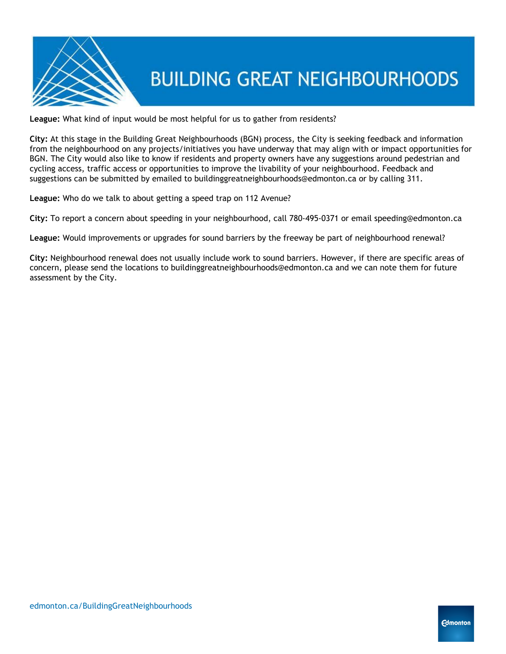

**League:** What kind of input would be most helpful for us to gather from residents?

**City:** At this stage in the Building Great Neighbourhoods (BGN) process, the City is seeking feedback and information from the neighbourhood on any projects/initiatives you have underway that may align with or impact opportunities for BGN. The City would also like to know if residents and property owners have any suggestions around pedestrian and cycling access, traffic access or opportunities to improve the livability of your neighbourhood. Feedback and suggestions can be submitted by emailed to buildinggreatneighbourhoods@edmonton.ca or by calling 311.

**League:** Who do we talk to about getting a speed trap on 112 Avenue?

**City:** To report a concern about speeding in your neighbourhood, call 780-495-0371 or email speeding@edmonton.ca

**League:** Would improvements or upgrades for sound barriers by the freeway be part of neighbourhood renewal?

**City:** Neighbourhood renewal does not usually include work to sound barriers. However, if there are specific areas of concern, please send the locations to buildinggreatneighbourhoods@edmonton.ca and we can note them for future assessment by the City.